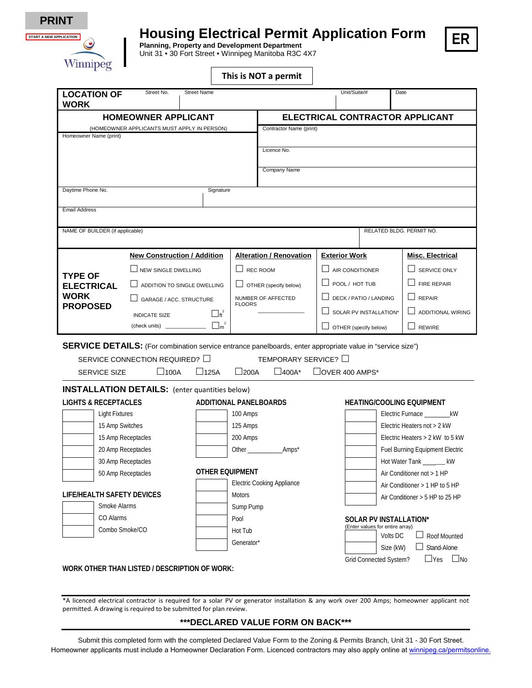

## **Housing Electrical Permit Application Form Planning, Property and Development Department**



Unit 31 • 30 Fort Street • Winnipeg Manitoba R3C 4X7

|  |  | This is NOT a permit |
|--|--|----------------------|
|--|--|----------------------|

| <b>LOCATION OF</b><br><b>WORK</b>                                                                                                                | Street No.                                                                                                        | <b>Street Name</b>                       |                                   |                                 |                                 | Unit/Suite/#                                              | Date                        |  |  |
|--------------------------------------------------------------------------------------------------------------------------------------------------|-------------------------------------------------------------------------------------------------------------------|------------------------------------------|-----------------------------------|---------------------------------|---------------------------------|-----------------------------------------------------------|-----------------------------|--|--|
| <b>HOMEOWNER APPLICANT</b>                                                                                                                       |                                                                                                                   |                                          |                                   | ELECTRICAL CONTRACTOR APPLICANT |                                 |                                                           |                             |  |  |
| (HOMEOWNER APPLICANTS MUST APPLY IN PERSON)                                                                                                      |                                                                                                                   |                                          | Contractor Name (print)           |                                 |                                 |                                                           |                             |  |  |
| Homeowner Name (print)                                                                                                                           |                                                                                                                   |                                          |                                   |                                 |                                 |                                                           |                             |  |  |
|                                                                                                                                                  |                                                                                                                   |                                          |                                   | Licence No.                     |                                 |                                                           |                             |  |  |
|                                                                                                                                                  |                                                                                                                   |                                          | Company Name                      |                                 |                                 |                                                           |                             |  |  |
|                                                                                                                                                  |                                                                                                                   |                                          |                                   |                                 |                                 |                                                           |                             |  |  |
| Daytime Phone No.<br>Signature                                                                                                                   |                                                                                                                   |                                          |                                   |                                 |                                 |                                                           |                             |  |  |
| <b>Email Address</b>                                                                                                                             |                                                                                                                   |                                          |                                   |                                 |                                 |                                                           |                             |  |  |
|                                                                                                                                                  |                                                                                                                   |                                          |                                   |                                 |                                 |                                                           |                             |  |  |
| NAME OF BUILDER (if applicable)                                                                                                                  |                                                                                                                   |                                          |                                   | RELATED BLDG. PERMIT NO.        |                                 |                                                           |                             |  |  |
|                                                                                                                                                  | <b>New Construction / Addition</b>                                                                                |                                          |                                   | <b>Alteration / Renovation</b>  | <b>Exterior Work</b>            |                                                           | <b>Misc. Electrical</b>     |  |  |
|                                                                                                                                                  | $\Box$ NEW SINGLE DWELLING                                                                                        |                                          | $\Box$ REC ROOM                   |                                 |                                 | AIR CONDITIONER                                           | $\Box$ SERVICE ONLY         |  |  |
| <b>TYPE OF</b><br>ADDITION TO SINGLE DWELLING<br><b>ELECTRICAL</b><br>WORK<br>GARAGE / ACC. STRUCTURE<br><b>PROPOSED</b><br><b>INDICATE SIZE</b> |                                                                                                                   |                                          | $\Box$ OTHER (specify below)      |                                 |                                 | POOL / HOT TUB                                            | $\Box$ FIRE REPAIR          |  |  |
|                                                                                                                                                  |                                                                                                                   | <b>FLOORS</b><br>$\Box_{\mathfrak{t}}^2$ |                                   | NUMBER OF AFFECTED              | DECK / PATIO / LANDING          |                                                           | $\Box$ REPAIR               |  |  |
|                                                                                                                                                  |                                                                                                                   |                                          |                                   |                                 |                                 | SOLAR PV INSTALLATION*                                    | <b>ADDITIONAL WIRING</b>    |  |  |
|                                                                                                                                                  |                                                                                                                   |                                          |                                   |                                 | $\Box$ OTHER (specify below)    |                                                           | $\Box$ REWIRE               |  |  |
|                                                                                                                                                  |                                                                                                                   |                                          |                                   |                                 |                                 |                                                           |                             |  |  |
|                                                                                                                                                  | <b>SERVICE DETAILS:</b> (For combination service entrance panelboards, enter appropriate value in "service size") |                                          |                                   |                                 |                                 |                                                           |                             |  |  |
|                                                                                                                                                  | SERVICE CONNECTION REQUIRED? $\Box$                                                                               |                                          |                                   | TEMPORARY SERVICE? □            |                                 |                                                           |                             |  |  |
| $\square$ 200A<br>$\square$ 400A*<br>$\Box$ 100A<br>$\Box$ 125A<br>$\Box$ OVER 400 AMPS*<br><b>SERVICE SIZE</b>                                  |                                                                                                                   |                                          |                                   |                                 |                                 |                                                           |                             |  |  |
| <b>INSTALLATION DETAILS:</b> (enter quantities below)                                                                                            |                                                                                                                   |                                          |                                   |                                 |                                 |                                                           |                             |  |  |
| <b>LIGHTS &amp; RECEPTACLES</b><br>ADDITIONAL PANELBOARDS<br><b>HEATING/COOLING EQUIPMENT</b>                                                    |                                                                                                                   |                                          |                                   |                                 |                                 |                                                           |                             |  |  |
| Light Fixtures                                                                                                                                   |                                                                                                                   |                                          | 100 Amps                          |                                 |                                 | Electric Furnace ___________ kW                           |                             |  |  |
| 15 Amp Switches                                                                                                                                  |                                                                                                                   |                                          | 125 Amps                          |                                 |                                 |                                                           | Electric Heaters not > 2 kW |  |  |
| 15 Amp Receptacles                                                                                                                               |                                                                                                                   |                                          | 200 Amps                          |                                 |                                 | Electric Heaters > 2 kW to 5 kW                           |                             |  |  |
| 20 Amp Receptacles                                                                                                                               |                                                                                                                   |                                          |                                   |                                 | Fuel Burning Equipment Electric |                                                           |                             |  |  |
| 30 Amp Receptacles                                                                                                                               |                                                                                                                   |                                          |                                   |                                 |                                 |                                                           | Hot Water Tank _______ kW   |  |  |
| 50 Amp Receptacles                                                                                                                               |                                                                                                                   |                                          | <b>OTHER EQUIPMENT</b>            |                                 |                                 | Air Conditioner not > 1 HP                                |                             |  |  |
|                                                                                                                                                  |                                                                                                                   |                                          | <b>Electric Cooking Appliance</b> |                                 |                                 | Air Conditioner > 1 HP to 5 HP                            |                             |  |  |
| <b>LIFE/HEALTH SAFETY DEVICES</b><br>Smoke Alarms                                                                                                |                                                                                                                   |                                          | <b>Motors</b>                     |                                 |                                 | Air Conditioner > 5 HP to 25 HP                           |                             |  |  |
|                                                                                                                                                  |                                                                                                                   |                                          | Sump Pump                         |                                 |                                 |                                                           |                             |  |  |
| CO Alarms                                                                                                                                        |                                                                                                                   |                                          | Pool                              |                                 |                                 | SOLAR PV INSTALLATION*<br>(Enter values for entire array) |                             |  |  |
| Combo Smoke/CO                                                                                                                                   |                                                                                                                   |                                          | Hot Tub                           |                                 |                                 | Volts DC                                                  | Roof Mounted                |  |  |
|                                                                                                                                                  |                                                                                                                   |                                          | Generator*                        |                                 |                                 | Size (kW)                                                 | Stand-Alone                 |  |  |
|                                                                                                                                                  |                                                                                                                   |                                          |                                   |                                 |                                 | Grid Connected System?                                    | $\Box$ Yes<br>$\Box$ No     |  |  |

**WORK OTHER THAN LISTED / DESCRIPTION OF WORK:** 

\*A licenced electrical contractor is required for a solar PV or generator installation & any work over 200 Amps; homeowner applicant not permitted. A drawing is required to be submitted for plan review.

## **\*\*\*DECLARED VALUE FORM ON BACK\*\*\***

Submit this completed form with the completed Declared Value Form to the Zoning & Permits Branch, Unit 31 - 30 Fort Street. Homeowner applicants must include a Homeowner Declaration Form. Licenced contractors may also apply online at [winnipeg.ca/permitsonline.](https://winnipeg.ca/ppd/permits/permits_online.stm)